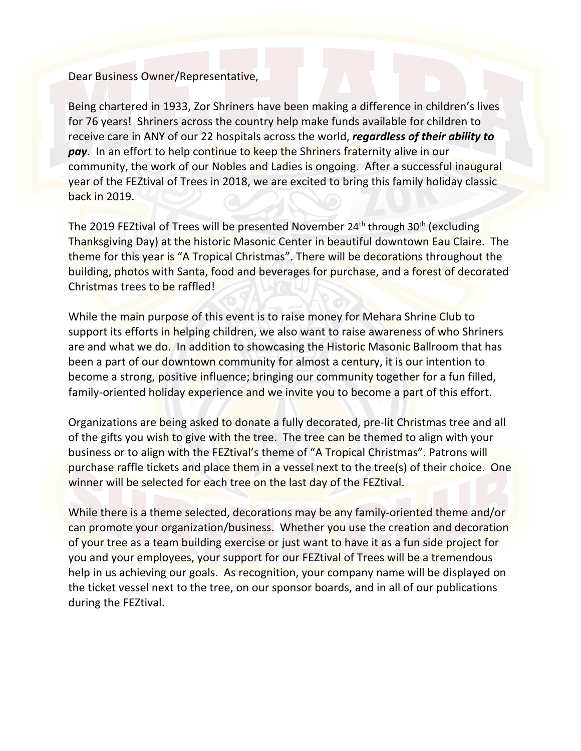Dear Business Owner/Representative,

Being chartered in 1933, Zor Shriners have been making a difference in children's lives for 76 years! Shriners across the country help make funds available for children to receive care in ANY of our 22 hospitals across the world, *regardless of their ability to pay*. In an effort to help continue to keep the Shriners fraternity alive in our community, the work of our Nobles and Ladies is ongoing. After a successful inaugural year of the FEZtival of Trees in 2018, we are excited to bring this family holiday classic back in 2019.

The 2019 FEZtival of Trees will be presented November 24<sup>th</sup> through 30<sup>th</sup> (excluding Thanksgiving Day) at the historic Masonic Center in beautiful downtown Eau Claire. The theme for this year is "A Tropical Christmas". There will be decorations throughout the building, photos with Santa, food and beverages for purchase, and a forest of decorated Christmas trees to be raffled!

While the main purpose of this event is to raise money for Mehara Shrine Club to support its efforts in helping children, we also want to raise awareness of who Shriners are and what we do. In addition to showcasing the Historic Masonic Ballroom that has been a part of our downtown community for almost a century, it is our intention to become a strong, positive influence; bringing our community together for a fun filled, family-oriented holiday experience and we invite you to become a part of this effort.

Organizations are being asked to donate a fully decorated, pre-lit Christmas tree and all of the gifts you wish to give with the tree. The tree can be themed to align with your business or to align with the FEZtival's theme of "A Tropical Christmas". Patrons will purchase raffle tickets and place them in a vessel next to the tree(s) of their choice. One winner will be selected for each tree on the last day of the FEZtival.

While there is a theme selected, decorations may be any family-oriented theme and/or can promote your organization/business. Whether you use the creation and decoration of your tree as a team building exercise or just want to have it as a fun side project for you and your employees, your support for our FEZtival of Trees will be a tremendous help in us achieving our goals. As recognition, your company name will be displayed on the ticket vessel next to the tree, on our sponsor boards, and in all of our publications during the FEZtival.